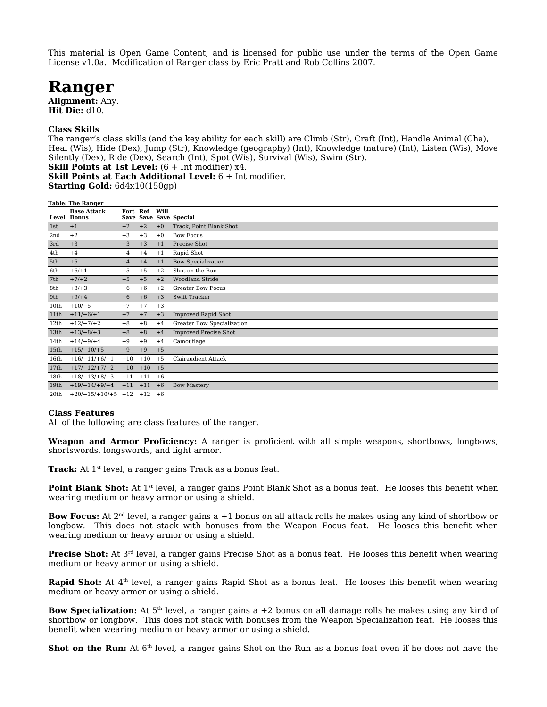This material is Open Game Content, and is licensed for public use under the terms of the Open Game License v1.0a. Modification of Ranger class by Eric Pratt and Rob Collins 2007.

## **Ranger**

**Alignment:** Any. **Hit Die:** d10.

## **Class Skills**

The ranger's class skills (and the key ability for each skill) are Climb (Str), Craft (Int), Handle Animal (Cha), Heal (Wis), Hide (Dex), Jump (Str), Knowledge (geography) (Int), Knowledge (nature) (Int), Listen (Wis), Move Silently (Dex), Ride (Dex), Search (Int), Spot (Wis), Survival (Wis), Swim (Str). **Skill Points at 1st Level:**  $(6 + \text{Int modifier})$  x4.

**Skill Points at Each Additional Level:** 6 + Int modifier.

**Starting Gold:** 6d4x10(150gp)

| <b>Table: The Ranger</b> |                                          |          |           |      |                              |
|--------------------------|------------------------------------------|----------|-----------|------|------------------------------|
|                          | <b>Base Attack</b><br><b>Level Bonus</b> | Fort Ref |           | Will | Save Save Save Special       |
| 1st                      | $+1$                                     | $+2$     | $+2$      | $+0$ | Track, Point Blank Shot      |
| 2nd                      | $+2$                                     | $+3$     | $+3$      | $+0$ | <b>Bow Focus</b>             |
| 3rd                      | $+3$                                     | $+3$     | $+3$      | $+1$ | Precise Shot                 |
| 4th                      | $+4$                                     | $+4$     | $+4$      | $+1$ | Rapid Shot                   |
| 5th                      | $+5$                                     | $+4$     | $+4$      | $+1$ | <b>Bow Specialization</b>    |
| 6th                      | $+6/+1$                                  | $+5$     | $+5$      | $+2$ | Shot on the Run              |
| 7th                      | $+7/+2$                                  | $+5$     | $+5$      | $+2$ | <b>Woodland Stride</b>       |
| 8th                      | $+8/+3$                                  | $+6$     | $+6$      | $+2$ | <b>Greater Bow Focus</b>     |
| 9th                      | $+9/+4$                                  | $+6$     | $+6$      | $+3$ | Swift Tracker                |
| 10th                     | $+10/+5$                                 | $+7$     | $+7$      | $+3$ |                              |
| 11th                     | $+11/+6/+1$                              | $+7$     | $+7$      | $+3$ | <b>Improved Rapid Shot</b>   |
| 12th                     | $+12/+7/+2$                              | $+8$     | $+8$      | $+4$ | Greater Bow Specialization   |
| 13th                     | $+13/+8/+3$                              | $+8$     | $+8$      | $+4$ | <b>Improved Precise Shot</b> |
| 14 <sub>th</sub>         | $+14/+9/+4$                              | $+9$     | $+9$      | $+4$ | Camouflage                   |
| 15 <sub>th</sub>         | $+15/+10/+5$                             | $+9$     | $+9$      | $+5$ |                              |
| 16th                     | $+16/+11/+6/+1$                          | $+10$    | $+10$     | $+5$ | <b>Clairaudient Attack</b>   |
| 17th                     | $+17/+12/+7/+2$                          | $+10$    | $+10 +5$  |      |                              |
| 18th                     | $+18/+13/+8/+3$                          | $+11$    | $+11$     | $+6$ |                              |
| 19th                     | $+19/+14/+9/+4$                          | $+11$    | $+11$     | $+6$ | <b>Bow Mastery</b>           |
| 20th                     | $+20/+15/+10/+5$                         | $+12$    | $+12 + 6$ |      |                              |

## **Class Features**

All of the following are class features of the ranger.

**Weapon and Armor Proficiency:** A ranger is proficient with all simple weapons, shortbows, longbows, shortswords, longswords, and light armor.

**Track:** At 1<sup>st</sup> level, a ranger gains Track as a bonus feat.

**Point Blank Shot:** At 1<sup>st</sup> level, a ranger gains Point Blank Shot as a bonus feat. He looses this benefit when wearing medium or heavy armor or using a shield.

**Bow Focus:** At 2<sup>nd</sup> level, a ranger gains a +1 bonus on all attack rolls he makes using any kind of shortbow or longbow. This does not stack with bonuses from the Weapon Focus feat. He looses this benefit when wearing medium or heavy armor or using a shield.

**Precise Shot:** At 3<sup>rd</sup> level, a ranger gains Precise Shot as a bonus feat. He looses this benefit when wearing medium or heavy armor or using a shield.

**Rapid Shot:** At 4<sup>th</sup> level, a ranger gains Rapid Shot as a bonus feat. He looses this benefit when wearing medium or heavy armor or using a shield.

**Bow Specialization:** At 5th level, a ranger gains a +2 bonus on all damage rolls he makes using any kind of shortbow or longbow. This does not stack with bonuses from the Weapon Specialization feat. He looses this benefit when wearing medium or heavy armor or using a shield.

Shot on the Run: At 6<sup>th</sup> level, a ranger gains Shot on the Run as a bonus feat even if he does not have the